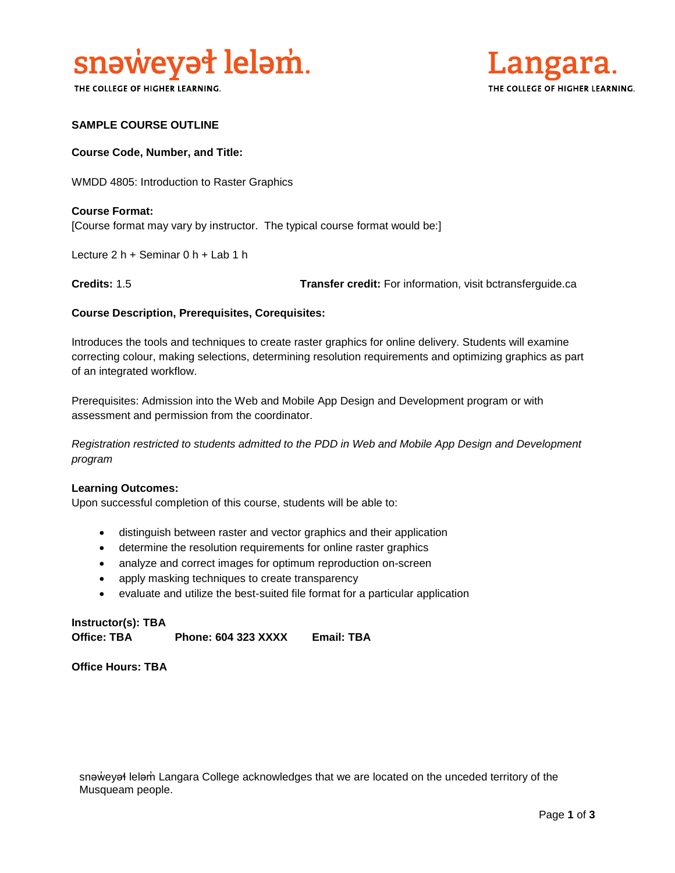

THE COLLEGE OF HIGHER LEARNING.



# **SAMPLE COURSE OUTLINE**

## **Course Code, Number, and Title:**

WMDD 4805: Introduction to Raster Graphics

**Course Format:** [Course format may vary by instructor. The typical course format would be:]

Lecture 2 h + Seminar 0 h + Lab 1 h

**Credits:** 1.5 **Transfer credit:** For information, visit bctransferguide.ca

### **Course Description, Prerequisites, Corequisites:**

Introduces the tools and techniques to create raster graphics for online delivery. Students will examine correcting colour, making selections, determining resolution requirements and optimizing graphics as part of an integrated workflow.

Prerequisites: Admission into the Web and Mobile App Design and Development program or with assessment and permission from the coordinator.

*Registration restricted to students admitted to the PDD in Web and Mobile App Design and Development program* 

#### **Learning Outcomes:**

Upon successful completion of this course, students will be able to:

- distinguish between raster and vector graphics and their application
- determine the resolution requirements for online raster graphics
- analyze and correct images for optimum reproduction on-screen
- apply masking techniques to create transparency
- evaluate and utilize the best-suited file format for a particular application

**Instructor(s): TBA Office: TBA Phone: 604 323 XXXX Email: TBA**

**Office Hours: TBA** 

snaweyał lelam Langara College acknowledges that we are located on the unceded territory of the Musqueam people.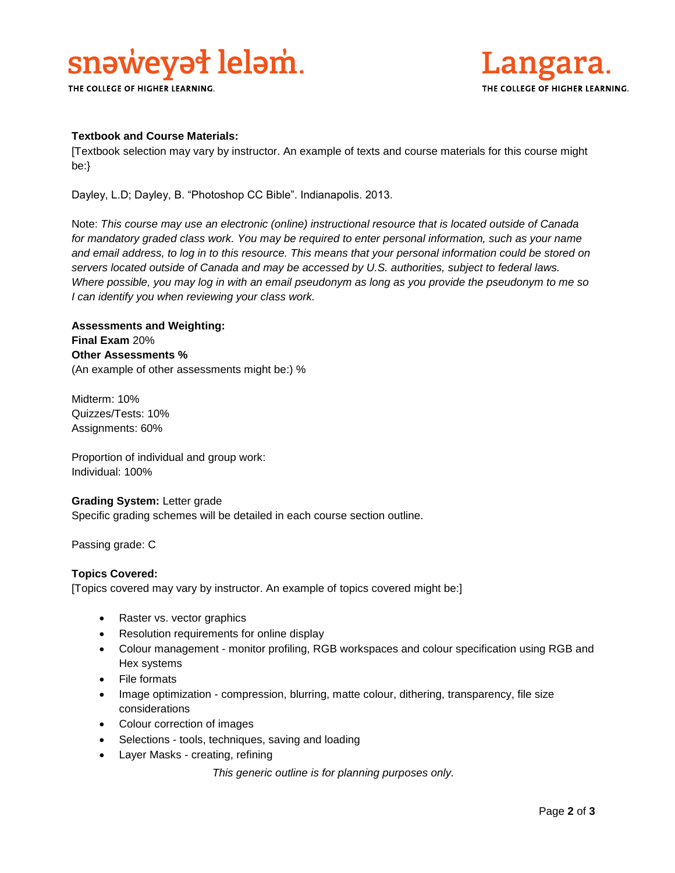# snaweyat lelam.

THE COLLEGE OF HIGHER LEARNING.



# **Textbook and Course Materials:**

[Textbook selection may vary by instructor. An example of texts and course materials for this course might be:}

Dayley, L.D; Dayley, B. "Photoshop CC Bible". Indianapolis. 2013.

Note: *This course may use an electronic (online) instructional resource that is located outside of Canada*  for mandatory graded class work. You may be required to enter personal information, such as your name *and email address, to log in to this resource. This means that your personal information could be stored on servers located outside of Canada and may be accessed by U.S. authorities, subject to federal laws. Where possible, you may log in with an email pseudonym as long as you provide the pseudonym to me so I can identify you when reviewing your class work.* 

# **Assessments and Weighting: Final Exam** 20% **Other Assessments %** (An example of other assessments might be:) %

Midterm: 10% Quizzes/Tests: 10% Assignments: 60%

Proportion of individual and group work: Individual: 100%

# **Grading System:** Letter grade

Specific grading schemes will be detailed in each course section outline.

Passing grade: C

# **Topics Covered:**

[Topics covered may vary by instructor. An example of topics covered might be:]

- Raster vs. vector graphics
- Resolution requirements for online display
- Colour management monitor profiling, RGB workspaces and colour specification using RGB and Hex systems
- File formats
- Image optimization compression, blurring, matte colour, dithering, transparency, file size considerations
- Colour correction of images
- Selections tools, techniques, saving and loading
- Layer Masks creating, refining

*This generic outline is for planning purposes only.*